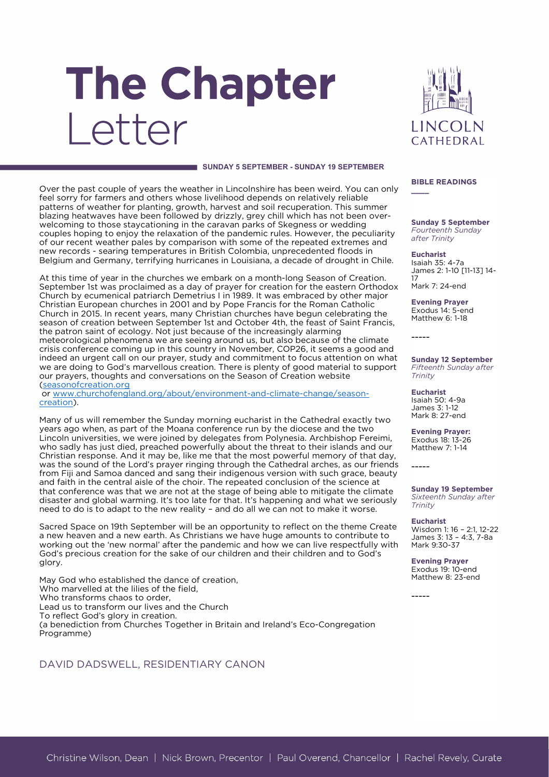# The Chapter Letter



#### **SUNDAY 5 SEPTEMBER - SUNDAY 19 SEPTEMBER**

Over the past couple of years the weather in Lincolnshire has been weird. You can only feel sorry for farmers and others whose livelihood depends on relatively reliable patterns of weather for planting, growth, harvest and soil recuperation. This summer blazing heatwaves have been followed by drizzly, grey chill which has not been overwelcoming to those staycationing in the caravan parks of Skegness or wedding couples hoping to enjoy the relaxation of the pandemic rules. However, the peculiarity of our recent weather pales by comparison with some of the repeated extremes and new records - searing temperatures in British Colombia, unprecedented floods in Belgium and Germany, terrifying hurricanes in Louisiana, a decade of drought in Chile.

At this time of year in the churches we embark on a month-long Season of Creation. September 1st was proclaimed as a day of prayer for creation for the eastern Orthodox Church by ecumenical patriarch Demetrius I in 1989. It was embraced by other major Christian European churches in 2001 and by Pope Francis for the Roman Catholic Church in 2015. In recent years, many Christian churches have begun celebrating the season of creation between September 1st and October 4th, the feast of Saint Francis, the patron saint of ecology. Not just because of the increasingly alarming meteorological phenomena we are seeing around us, but also because of the climate crisis conference coming up in this country in November, COP26, it seems a good and indeed an urgent call on our prayer, study and commitment to focus attention on what we are doing to God's marvellous creation. There is plenty of good material to support our prayers, thoughts and conversations on the Season of Creation website (seasonofcreation.org

or [www.churchofengland.org/about/environment-and-climate-change/season](www.churchofengland.org/about/environment-and-climate-change/season-creation)[creation\)](www.churchofengland.org/about/environment-and-climate-change/season-creation).

Many of us will remember the Sunday morning eucharist in the Cathedral exactly two years ago when, as part of the Moana conference run by the diocese and the two Lincoln universities, we were joined by delegates from Polynesia. Archbishop Fereimi, who sadly has just died, preached powerfully about the threat to their islands and our Christian response. And it may be, like me that the most powerful memory of that day, was the sound of the Lord's prayer ringing through the Cathedral arches, as our friends from Fiji and Samoa danced and sang their indigenous version with such grace, beauty and faith in the central aisle of the choir. The repeated conclusion of the science at that conference was that we are not at the stage of being able to mitigate the climate disaster and global warming. It's too late for that. It's happening and what we seriously need to do is to adapt to the new reality – and do all we can not to make it worse.

Sacred Space on 19th September will be an opportunity to reflect on the theme Create a new heaven and a new earth. As Christians we have huge amounts to contribute to working out the 'new normal' after the pandemic and how we can live respectfully with God's precious creation for the sake of our children and their children and to God's glory.

May God who established the dance of creation, Who marvelled at the lilies of the field, Who transforms chaos to order, Lead us to transform our lives and the Church To reflect God's glory in creation. (a benediction from Churches Together in Britain and Ireland's Eco-Congregation Programme)

## DAVID DADSWELL, RESIDENTIARY CANON

**BIBLE READINGS**

**\_\_\_\_**

**Sunday 5 September** *Fourteenth Sunday after Trinity*

**Eucharist** Isaiah 35: 4-7a James 2: 1-10 [11-13] 14- 17 Mark 7: 24-end

**Evening Prayer** Exodus 14: 5-end Matthew 6: 1-18

**Sunday 12 September** *Fifteenth Sunday after Trinity*

**Eucharist** Isaiah 50: 4-9a James 3: 1-12 Mark 8: 27-end

**Evening Prayer:**  Exodus 18: 13-26 Matthew 7: 1-14

-----

-----

-----

**Sunday 19 September** *Sixteenth Sunday after Trinity*

**Eucharist**

Wisdom 1: 16 – 2:1, 12-22 James 3: 13 – 4:3, 7-8a Mark 9:30-37

**Evening Prayer** Exodus 19: 10-end Matthew 8: 23-end